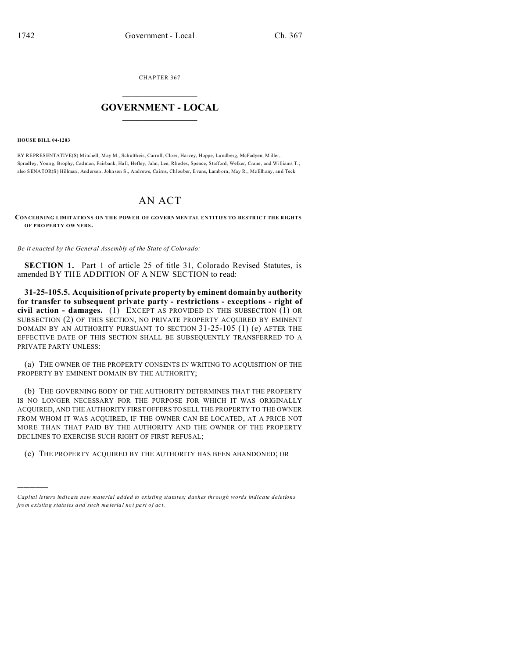CHAPTER 367  $\overline{\phantom{a}}$  , where  $\overline{\phantom{a}}$ 

## **GOVERNMENT - LOCAL**  $\_$   $\_$

## **HOUSE BILL 04-1203**

)))))

BY REPRESENTATIVE(S) Mitchell, May M., Schultheis, Carroll, Cloer, Harvey, Hoppe, Lundberg, McFadyen, Miller, Spradl ey, Young, Brophy, Cadman, Fairbank, Ha ll, Hefley, Jahn, Lee, Rhodes, Spence, Stafford, Welker, Crane , and Williams T.; also SENATOR(S) Hillman, Anderson, John son S., Andrews, Cairns, Chlouber, Evans, Lamborn, May R., McElhany, and Teck.

## AN ACT

**CONCERNING LIMITATIONS ON THE POWER OF GOVERNMEN TAL EN TITIES TO RESTR ICT THE RIGHTS OF PRO PERTY OW NERS.**

*Be it enacted by the General Assembly of the State of Colorado:*

**SECTION 1.** Part 1 of article 25 of title 31, Colorado Revised Statutes, is amended BY THE ADDITION OF A NEW SECTION to read:

**31-25-105.5. Acquisition of private property by eminent domain by authority for transfer to subsequent private party - restrictions - exceptions - right of civil action - damages.** (1) EXCEPT AS PROVIDED IN THIS SUBSECTION (1) OR SUBSECTION (2) OF THIS SECTION, NO PRIVATE PROPERTY ACQUIRED BY EMINENT DOMAIN BY AN AUTHORITY PURSUANT TO SECTION 31-25-105 (1) (e) AFTER THE EFFECTIVE DATE OF THIS SECTION SHALL BE SUBSEQUENTLY TRANSFERRED TO A PRIVATE PARTY UNLESS:

(a) THE OWNER OF THE PROPERTY CONSENTS IN WRITING TO ACQUISITION OF THE PROPERTY BY EMINENT DOMAIN BY THE AUTHORITY;

(b) THE GOVERNING BODY OF THE AUTHORITY DETERMINES THAT THE PROPERTY IS NO LONGER NECESSARY FOR THE PURPOSE FOR WHICH IT WAS ORIGINALLY ACQUIRED, AND THE AUTHORITY FIRST OFFERS TO SELL THE PROPERTY TO THE OWNER FROM WHOM IT WAS ACQUIRED, IF THE OWNER CAN BE LOCATED, AT A PRICE NOT MORE THAN THAT PAID BY THE AUTHORITY AND THE OWNER OF THE PROPERTY DECLINES TO EXERCISE SUCH RIGHT OF FIRST REFUSAL;

(c) THE PROPERTY ACQUIRED BY THE AUTHORITY HAS BEEN ABANDONED; OR

*Capital letters indicate new material added to existing statutes; dashes through words indicate deletions from e xistin g statu tes a nd such ma teria l no t pa rt of ac t.*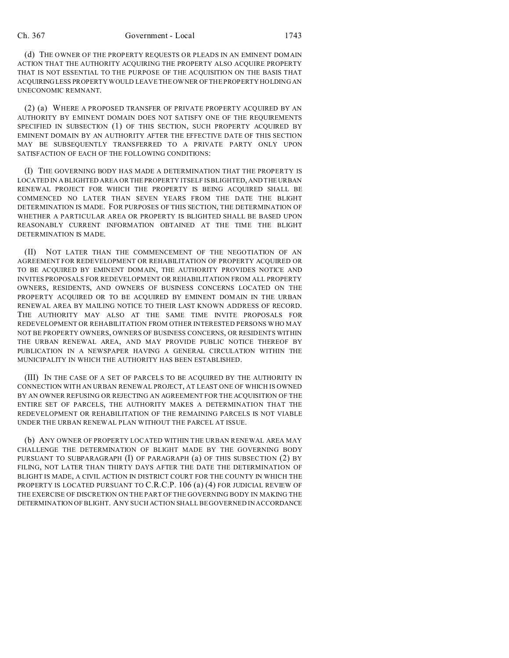(d) THE OWNER OF THE PROPERTY REQUESTS OR PLEADS IN AN EMINENT DOMAIN ACTION THAT THE AUTHORITY ACQUIRING THE PROPERTY ALSO ACQUIRE PROPERTY THAT IS NOT ESSENTIAL TO THE PURPOSE OF THE ACQUISITION ON THE BASIS THAT ACQUIRING LESS PROPERTY WOULD LEAVE THE OWNER OF THE PROPERTY HOLDING AN UNECONOMIC REMNANT.

(2) (a) WHERE A PROPOSED TRANSFER OF PRIVATE PROPERTY ACQUIRED BY AN AUTHORITY BY EMINENT DOMAIN DOES NOT SATISFY ONE OF THE REQUIREMENTS SPECIFIED IN SUBSECTION (1) OF THIS SECTION, SUCH PROPERTY ACQUIRED BY EMINENT DOMAIN BY AN AUTHORITY AFTER THE EFFECTIVE DATE OF THIS SECTION MAY BE SUBSEQUENTLY TRANSFERRED TO A PRIVATE PARTY ONLY UPON SATISFACTION OF EACH OF THE FOLLOWING CONDITIONS:

(I) THE GOVERNING BODY HAS MADE A DETERMINATION THAT THE PROPERTY IS LOCATED IN A BLIGHTED AREA OR THE PROPERTY ITSELF IS BLIGHTED, AND THE URBAN RENEWAL PROJECT FOR WHICH THE PROPERTY IS BEING ACQUIRED SHALL BE COMMENCED NO LATER THAN SEVEN YEARS FROM THE DATE THE BLIGHT DETERMINATION IS MADE. FOR PURPOSES OF THIS SECTION, THE DETERMINATION OF WHETHER A PARTICULAR AREA OR PROPERTY IS BLIGHTED SHALL BE BASED UPON REASONABLY CURRENT INFORMATION OBTAINED AT THE TIME THE BLIGHT DETERMINATION IS MADE.

(II) NOT LATER THAN THE COMMENCEMENT OF THE NEGOTIATION OF AN AGREEMENT FOR REDEVELOPMENT OR REHABILITATION OF PROPERTY ACQUIRED OR TO BE ACQUIRED BY EMINENT DOMAIN, THE AUTHORITY PROVIDES NOTICE AND INVITES PROPOSALS FOR REDEVELOPMENT OR REHABILITATION FROM ALL PROPERTY OWNERS, RESIDENTS, AND OWNERS OF BUSINESS CONCERNS LOCATED ON THE PROPERTY ACQUIRED OR TO BE ACQUIRED BY EMINENT DOMAIN IN THE URBAN RENEWAL AREA BY MAILING NOTICE TO THEIR LAST KNOWN ADDRESS OF RECORD. THE AUTHORITY MAY ALSO AT THE SAME TIME INVITE PROPOSALS FOR REDEVELOPMENT OR REHABILITATION FROM OTHER INTERESTED PERSONS WHO MAY NOT BE PROPERTY OWNERS, OWNERS OF BUSINESS CONCERNS, OR RESIDENTS WITHIN THE URBAN RENEWAL AREA, AND MAY PROVIDE PUBLIC NOTICE THEREOF BY PUBLICATION IN A NEWSPAPER HAVING A GENERAL CIRCULATION WITHIN THE MUNICIPALITY IN WHICH THE AUTHORITY HAS BEEN ESTABLISHED.

(III) IN THE CASE OF A SET OF PARCELS TO BE ACQUIRED BY THE AUTHORITY IN CONNECTION WITH AN URBAN RENEWAL PROJECT, AT LEAST ONE OF WHICH IS OWNED BY AN OWNER REFUSING OR REJECTING AN AGREEMENT FOR THE ACQUISITION OF THE ENTIRE SET OF PARCELS, THE AUTHORITY MAKES A DETERMINATION THAT THE REDEVELOPMENT OR REHABILITATION OF THE REMAINING PARCELS IS NOT VIABLE UNDER THE URBAN RENEWAL PLAN WITHOUT THE PARCEL AT ISSUE.

(b) ANY OWNER OF PROPERTY LOCATED WITHIN THE URBAN RENEWAL AREA MAY CHALLENGE THE DETERMINATION OF BLIGHT MADE BY THE GOVERNING BODY PURSUANT TO SUBPARAGRAPH (I) OF PARAGRAPH (a) OF THIS SUBSECTION (2) BY FILING, NOT LATER THAN THIRTY DAYS AFTER THE DATE THE DETERMINATION OF BLIGHT IS MADE, A CIVIL ACTION IN DISTRICT COURT FOR THE COUNTY IN WHICH THE PROPERTY IS LOCATED PURSUANT TO C.R.C.P. 106 (a) (4) FOR JUDICIAL REVIEW OF THE EXERCISE OF DISCRETION ON THE PART OF THE GOVERNING BODY IN MAKING THE DETERMINATION OF BLIGHT. ANY SUCH ACTION SHALL BE GOVERNED IN ACCORDANCE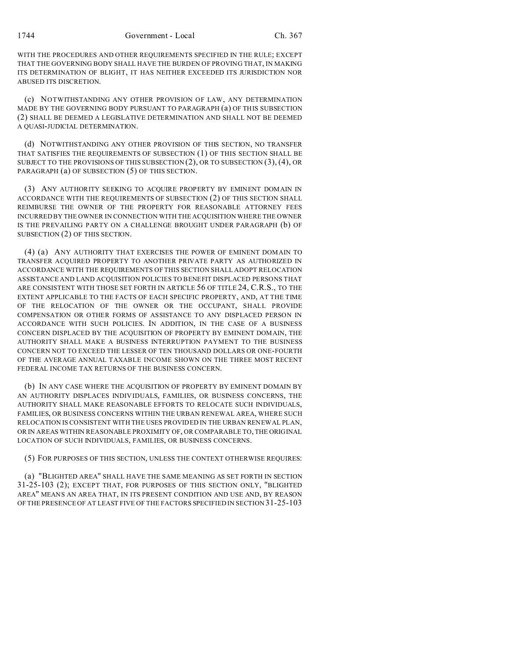WITH THE PROCEDURES AND OTHER REQUIREMENTS SPECIFIED IN THE RULE; EXCEPT THAT THE GOVERNING BODY SHALL HAVE THE BURDEN OF PROVING THAT, IN MAKING ITS DETERMINATION OF BLIGHT, IT HAS NEITHER EXCEEDED ITS JURISDICTION NOR ABUSED ITS DISCRETION.

(c) NOTWITHSTANDING ANY OTHER PROVISION OF LAW, ANY DETERMINATION MADE BY THE GOVERNING BODY PURSUANT TO PARAGRAPH (a) OF THIS SUBSECTION (2) SHALL BE DEEMED A LEGISLATIVE DETERMINATION AND SHALL NOT BE DEEMED A QUASI-JUDICIAL DETERMINATION.

(d) NOTWITHSTANDING ANY OTHER PROVISION OF THIS SECTION, NO TRANSFER THAT SATISFIES THE REQUIREMENTS OF SUBSECTION (1) OF THIS SECTION SHALL BE SUBJECT TO THE PROVISIONS OF THIS SUBSECTION (2), OR TO SUBSECTION (3), (4), OR PARAGRAPH (a) OF SUBSECTION (5) OF THIS SECTION.

(3) ANY AUTHORITY SEEKING TO ACQUIRE PROPERTY BY EMINENT DOMAIN IN ACCORDANCE WITH THE REQUIREMENTS OF SUBSECTION (2) OF THIS SECTION SHALL REIMBURSE THE OWNER OF THE PROPERTY FOR REASONABLE ATTORNEY FEES INCURRED BY THE OWNER IN CONNECTION WITH THE ACQUISITION WHERE THE OWNER IS THE PREVAILING PARTY ON A CHALLENGE BROUGHT UNDER PARAGRAPH (b) OF SUBSECTION (2) OF THIS SECTION.

(4) (a) ANY AUTHORITY THAT EXERCISES THE POWER OF EMINENT DOMAIN TO TRANSFER ACQUIRED PROPERTY TO ANOTHER PRIVATE PARTY AS AUTHORIZED IN ACCORDANCE WITH THE REQUIREMENTS OF THIS SECTION SHALL ADOPT RELOCATION ASSISTANCE AND LAND ACQUISITION POLICIES TO BENEFIT DISPLACED PERSONS THAT ARE CONSISTENT WITH THOSE SET FORTH IN ARTICLE 56 OF TITLE 24, C.R.S., TO THE EXTENT APPLICABLE TO THE FACTS OF EACH SPECIFIC PROPERTY, AND, AT THE TIME OF THE RELOCATION OF THE OWNER OR THE OCCUPANT, SHALL PROVIDE COMPENSATION OR OTHER FORMS OF ASSISTANCE TO ANY DISPLACED PERSON IN ACCORDANCE WITH SUCH POLICIES. IN ADDITION, IN THE CASE OF A BUSINESS CONCERN DISPLACED BY THE ACQUISITION OF PROPERTY BY EMINENT DOMAIN, THE AUTHORITY SHALL MAKE A BUSINESS INTERRUPTION PAYMENT TO THE BUSINESS CONCERN NOT TO EXCEED THE LESSER OF TEN THOUSAND DOLLARS OR ONE-FOURTH OF THE AVERAGE ANNUAL TAXABLE INCOME SHOWN ON THE THREE MOST RECENT FEDERAL INCOME TAX RETURNS OF THE BUSINESS CONCERN.

(b) IN ANY CASE WHERE THE ACQUISITION OF PROPERTY BY EMINENT DOMAIN BY AN AUTHORITY DISPLACES INDIVIDUALS, FAMILIES, OR BUSINESS CONCERNS, THE AUTHORITY SHALL MAKE REASONABLE EFFORTS TO RELOCATE SUCH INDIVIDUALS, FAMILIES, OR BUSINESS CONCERNS WITHIN THE URBAN RENEWAL AREA, WHERE SUCH RELOCATION IS CONSISTENT WITH THE USES PROVIDED IN THE URBAN RENEWAL PLAN, OR IN AREAS WITHIN REASONABLE PROXIMITY OF, OR COMPARABLE TO, THE ORIGINAL LOCATION OF SUCH INDIVIDUALS, FAMILIES, OR BUSINESS CONCERNS.

(5) FOR PURPOSES OF THIS SECTION, UNLESS THE CONTEXT OTHERWISE REQUIRES:

(a) "BLIGHTED AREA" SHALL HAVE THE SAME MEANING AS SET FORTH IN SECTION 31-25-103 (2); EXCEPT THAT, FOR PURPOSES OF THIS SECTION ONLY, "BLIGHTED AREA" MEANS AN AREA THAT, IN ITS PRESENT CONDITION AND USE AND, BY REASON OF THE PRESENCE OF AT LEAST FIVE OF THE FACTORS SPECIFIED IN SECTION 31-25-103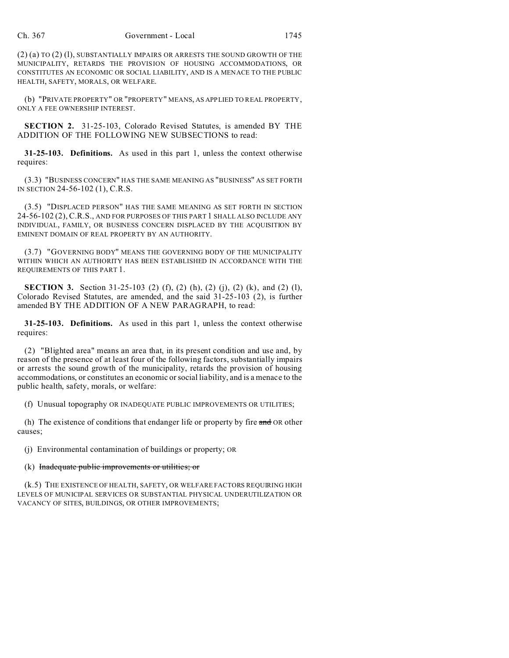$(2)$  (a) TO  $(2)$  (l), SUBSTANTIALLY IMPAIRS OR ARRESTS THE SOUND GROWTH OF THE MUNICIPALITY, RETARDS THE PROVISION OF HOUSING ACCOMMODATIONS, OR CONSTITUTES AN ECONOMIC OR SOCIAL LIABILITY, AND IS A MENACE TO THE PUBLIC HEALTH, SAFETY, MORALS, OR WELFARE.

(b) "PRIVATE PROPERTY" OR "PROPERTY" MEANS, AS APPLIED TO REAL PROPERTY, ONLY A FEE OWNERSHIP INTEREST.

**SECTION 2.** 31-25-103, Colorado Revised Statutes, is amended BY THE ADDITION OF THE FOLLOWING NEW SUBSECTIONS to read:

**31-25-103. Definitions.** As used in this part 1, unless the context otherwise requires:

(3.3) "BUSINESS CONCERN" HAS THE SAME MEANING AS "BUSINESS" AS SET FORTH IN SECTION 24-56-102 (1), C.R.S.

(3.5) "DISPLACED PERSON" HAS THE SAME MEANING AS SET FORTH IN SECTION 24-56-102 (2), C.R.S., AND FOR PURPOSES OF THIS PART 1 SHALL ALSO INCLUDE ANY INDIVIDUAL, FAMILY, OR BUSINESS CONCERN DISPLACED BY THE ACQUISITION BY EMINENT DOMAIN OF REAL PROPERTY BY AN AUTHORITY.

(3.7) "GOVERNING BODY" MEANS THE GOVERNING BODY OF THE MUNICIPALITY WITHIN WHICH AN AUTHORITY HAS BEEN ESTABLISHED IN ACCORDANCE WITH THE REQUIREMENTS OF THIS PART 1.

**SECTION 3.** Section 31-25-103 (2) (f), (2) (h), (2) (j), (2) (k), and (2) (l), Colorado Revised Statutes, are amended, and the said 31-25-103 (2), is further amended BY THE ADDITION OF A NEW PARAGRAPH, to read:

**31-25-103. Definitions.** As used in this part 1, unless the context otherwise requires:

(2) "Blighted area" means an area that, in its present condition and use and, by reason of the presence of at least four of the following factors, substantially impairs or arrests the sound growth of the municipality, retards the provision of housing accommodations, or constitutes an economic or social liability, and is a menace to the public health, safety, morals, or welfare:

(f) Unusual topography OR INADEQUATE PUBLIC IMPROVEMENTS OR UTILITIES;

(h) The existence of conditions that endanger life or property by fire and OR other causes;

(j) Environmental contamination of buildings or property; OR

## (k) Inadequate public improvements or utilities; or

(k.5) THE EXISTENCE OF HEALTH, SAFETY, OR WELFARE FACTORS REQUIRING HIGH LEVELS OF MUNICIPAL SERVICES OR SUBSTANTIAL PHYSICAL UNDERUTILIZATION OR VACANCY OF SITES, BUILDINGS, OR OTHER IMPROVEMENTS;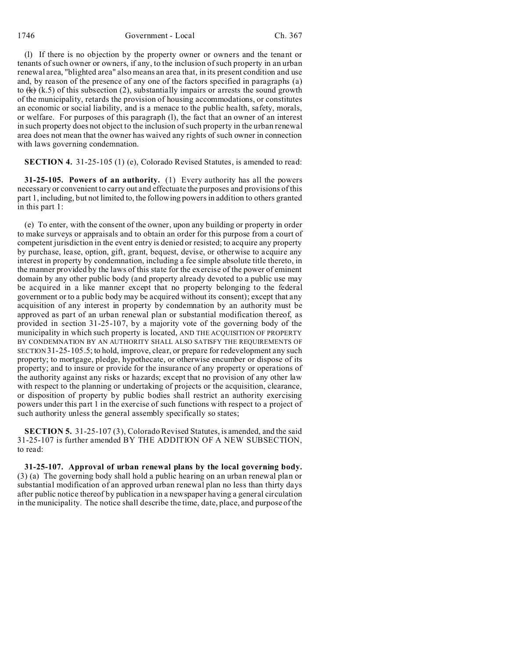1746 Government - Local Ch. 367

(l) If there is no objection by the property owner or owners and the tenant or tenants of such owner or owners, if any, to the inclusion of such property in an urban renewal area, "blighted area" also means an area that, in its present condition and use and, by reason of the presence of any one of the factors specified in paragraphs (a) to  $(k)$  (k.5) of this subsection (2), substantially impairs or arrests the sound growth of the municipality, retards the provision of housing accommodations, or constitutes an economic or social liability, and is a menace to the public health, safety, morals, or welfare. For purposes of this paragraph (l), the fact that an owner of an interest in such property does not object to the inclusion of such property in the urban renewal area does not mean that the owner has waived any rights of such owner in connection with laws governing condemnation.

**SECTION 4.** 31-25-105 (1) (e), Colorado Revised Statutes, is amended to read:

**31-25-105. Powers of an authority.** (1) Every authority has all the powers necessary or convenient to carry out and effectuate the purposes and provisions of this part 1, including, but not limited to, the following powers in addition to others granted in this part 1:

(e) To enter, with the consent of the owner, upon any building or property in order to make surveys or appraisals and to obtain an order for this purpose from a court of competent jurisdiction in the event entry is denied or resisted; to acquire any property by purchase, lease, option, gift, grant, bequest, devise, or otherwise to acquire any interest in property by condemnation, including a fee simple absolute title thereto, in the manner provided by the laws of this state for the exercise of the power of eminent domain by any other public body (and property already devoted to a public use may be acquired in a like manner except that no property belonging to the federal government or to a public body may be acquired without its consent); except that any acquisition of any interest in property by condemnation by an authority must be approved as part of an urban renewal plan or substantial modification thereof, as provided in section 31-25-107, by a majority vote of the governing body of the municipality in which such property is located, AND THE ACQUISITION OF PROPERTY BY CONDEMNATION BY AN AUTHORITY SHALL ALSO SATISFY THE REQUIREMENTS OF SECTION 31-25-105.5; to hold, improve, clear, or prepare for redevelopment any such property; to mortgage, pledge, hypothecate, or otherwise encumber or dispose of its property; and to insure or provide for the insurance of any property or operations of the authority against any risks or hazards; except that no provision of any other law with respect to the planning or undertaking of projects or the acquisition, clearance, or disposition of property by public bodies shall restrict an authority exercising powers under this part 1 in the exercise of such functions with respect to a project of such authority unless the general assembly specifically so states;

**SECTION 5.** 31-25-107 (3), Colorado Revised Statutes, is amended, and the said 31-25-107 is further amended BY THE ADDITION OF A NEW SUBSECTION, to read:

**31-25-107. Approval of urban renewal plans by the local governing body.** (3) (a) The governing body shall hold a public hearing on an urban renewal plan or substantial modification of an approved urban renewal plan no less than thirty days after public notice thereof by publication in a newspaper having a general circulation in the municipality. The notice shall describe the time, date, place, and purpose of the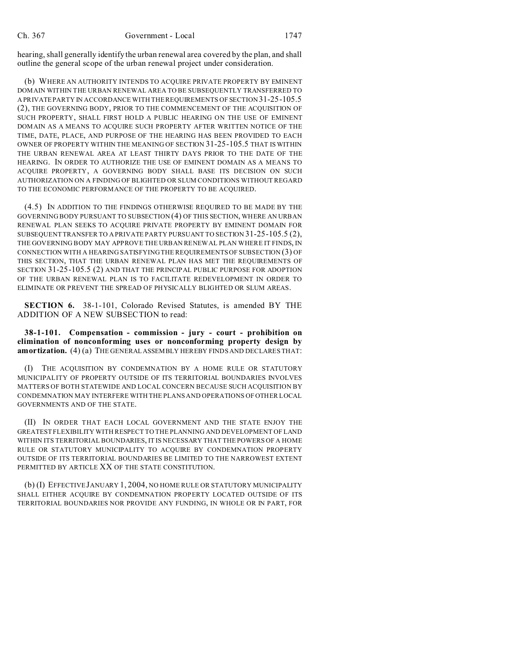hearing, shall generally identify the urban renewal area covered by the plan, and shall outline the general scope of the urban renewal project under consideration.

(b) WHERE AN AUTHORITY INTENDS TO ACQUIRE PRIVATE PROPERTY BY EMINENT DOMAIN WITHIN THE URBAN RENEWAL AREA TO BE SUBSEQUENTLY TRANSFERRED TO A PRIVATEPARTY IN ACCORDANCE WITH THE REQUIREMENTS OF SECTION 31-25-105.5 (2), THE GOVERNING BODY, PRIOR TO THE COMMENCEMENT OF THE ACQUISITION OF SUCH PROPERTY, SHALL FIRST HOLD A PUBLIC HEARING ON THE USE OF EMINENT DOMAIN AS A MEANS TO ACQUIRE SUCH PROPERTY AFTER WRITTEN NOTICE OF THE TIME, DATE, PLACE, AND PURPOSE OF THE HEARING HAS BEEN PROVIDED TO EACH OWNER OF PROPERTY WITHIN THE MEANING OF SECTION 31-25-105.5 THAT IS WITHIN THE URBAN RENEWAL AREA AT LEAST THIRTY DAYS PRIOR TO THE DATE OF THE HEARING. IN ORDER TO AUTHORIZE THE USE OF EMINENT DOMAIN AS A MEANS TO ACQUIRE PROPERTY, A GOVERNING BODY SHALL BASE ITS DECISION ON SUCH AUTHORIZATION ON A FINDING OF BLIGHTED OR SLUM CONDITIONS WITHOUT REGARD TO THE ECONOMIC PERFORMANCE OF THE PROPERTY TO BE ACQUIRED.

(4.5) IN ADDITION TO THE FINDINGS OTHERWISE REQUIRED TO BE MADE BY THE GOVERNING BODY PURSUANT TO SUBSECTION (4) OF THIS SECTION, WHERE AN URBAN RENEWAL PLAN SEEKS TO ACQUIRE PRIVATE PROPERTY BY EMINENT DOMAIN FOR SUBSEQUENT TRANSFER TO A PRIVATE PARTY PURSUANT TO SECTION 31-25-105.5 (2), THE GOVERNING BODY MAY APPROVE THE URBAN RENEWAL PLAN WHERE IT FINDS, IN CONNECTION WITH A HEARING SATISFYING THE REQUIREMENTS OF SUBSECTION (3) OF THIS SECTION, THAT THE URBAN RENEWAL PLAN HAS MET THE REQUIREMENTS OF SECTION 31-25-105.5 (2) AND THAT THE PRINCIPAL PUBLIC PURPOSE FOR ADOPTION OF THE URBAN RENEWAL PLAN IS TO FACILITATE REDEVELOPMENT IN ORDER TO ELIMINATE OR PREVENT THE SPREAD OF PHYSICALLY BLIGHTED OR SLUM AREAS.

**SECTION 6.** 38-1-101, Colorado Revised Statutes, is amended BY THE ADDITION OF A NEW SUBSECTION to read:

**38-1-101. Compensation - commission - jury - court - prohibition on elimination of nonconforming uses or nonconforming property design by amortization.** (4) (a) THE GENERAL ASSEMBLY HEREBY FINDS AND DECLARES THAT:

(I) THE ACQUISITION BY CONDEMNATION BY A HOME RULE OR STATUTORY MUNICIPALITY OF PROPERTY OUTSIDE OF ITS TERRITORIAL BOUNDARIES INVOLVES MATTERS OF BOTH STATEWIDE AND LOCAL CONCERN BECAUSE SUCH ACQUISITION BY CONDEMNATION MAY INTERFERE WITH THE PLANS AND OPERATIONS OF OTHER LOCAL GOVERNMENTS AND OF THE STATE.

(II) IN ORDER THAT EACH LOCAL GOVERNMENT AND THE STATE ENJOY THE GREATEST FLEXIBILITY WITH RESPECT TO THE PLANNING AND DEVELOPMENT OF LAND WITHIN ITS TERRITORIAL BOUNDARIES, IT IS NECESSARY THAT THE POWERS OF A HOME RULE OR STATUTORY MUNICIPALITY TO ACQUIRE BY CONDEMNATION PROPERTY OUTSIDE OF ITS TERRITORIAL BOUNDARIES BE LIMITED TO THE NARROWEST EXTENT PERMITTED BY ARTICLE XX OF THE STATE CONSTITUTION.

(b) (I) EFFECTIVE JANUARY 1, 2004, NO HOME RULE OR STATUTORY MUNICIPALITY SHALL EITHER ACQUIRE BY CONDEMNATION PROPERTY LOCATED OUTSIDE OF ITS TERRITORIAL BOUNDARIES NOR PROVIDE ANY FUNDING, IN WHOLE OR IN PART, FOR